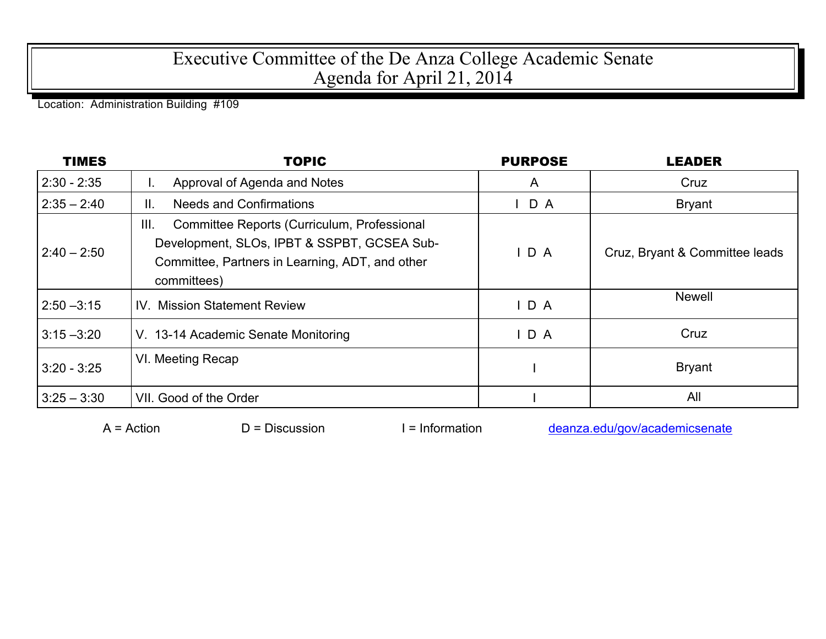## Executive Committee of the De Anza College Academic Senate Agenda for April 21, 2014

Location: Administration Building #109

| <b>TIMES</b>  | <b>TOPIC</b>                                                                                                                                                         | <b>PURPOSE</b>   | <b>LEADER</b>                  |
|---------------|----------------------------------------------------------------------------------------------------------------------------------------------------------------------|------------------|--------------------------------|
| $2:30 - 2:35$ | Approval of Agenda and Notes<br>ι.                                                                                                                                   | A                | Cruz                           |
| $2:35 - 2:40$ | <b>Needs and Confirmations</b><br>Ⅱ.                                                                                                                                 | $\mathsf{I}$ D A | <b>Bryant</b>                  |
| $2:40 - 2:50$ | Committee Reports (Curriculum, Professional<br>III.<br>Development, SLOs, IPBT & SSPBT, GCSEA Sub-<br>Committee, Partners in Learning, ADT, and other<br>committees) | IDA              | Cruz, Bryant & Committee leads |
| $2:50 - 3:15$ | <b>IV. Mission Statement Review</b>                                                                                                                                  | D A              | <b>Newell</b>                  |
| $3:15 - 3:20$ | V. 13-14 Academic Senate Monitoring                                                                                                                                  | D A              | Cruz                           |
| $3:20 - 3:25$ | VI. Meeting Recap                                                                                                                                                    |                  | <b>Bryant</b>                  |
| $3:25 - 3:30$ | VII. Good of the Order                                                                                                                                               |                  | All                            |

 $A =$  Action  $D =$  Discussion I = Information deanza.edu/gov/academicsenate